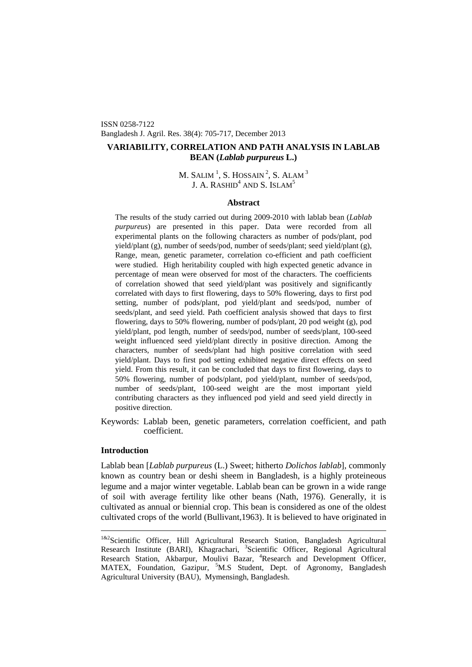ISSN 0258-7122 Bangladesh J. Agril. Res. 38(4): 705-717, December 2013

# **VARIABILITY, CORRELATION AND PATH ANALYSIS IN LABLAB BEAN (***Lablab purpureus* **L.)**

# M. SALIM  $^{1}$  $^{1}$  $^{1}$ , S. HOSSAIN  $^{2}$ , S. Alam  $^{3}$ J. A. RASHID<sup>4</sup> AND S. ISLAM<sup>5</sup>

## **Abstract**

The results of the study carried out during 2009-2010 with lablab bean (*Lablab purpureus*) are presented in this paper. Data were recorded from all experimental plants on the following characters as number of pods/plant, pod yield/plant (g), number of seeds/pod, number of seeds/plant; seed yield/plant (g), Range, mean, genetic parameter, correlation co-efficient and path coefficient were studied. High heritability coupled with high expected genetic advance in percentage of mean were observed for most of the characters. The coefficients of correlation showed that seed yield/plant was positively and significantly correlated with days to first flowering, days to 50% flowering, days to first pod setting, number of pods/plant, pod yield/plant and seeds/pod, number of seeds/plant, and seed yield. Path coefficient analysis showed that days to first flowering, days to 50% flowering, number of pods/plant, 20 pod weight (g), pod yield/plant, pod length, number of seeds/pod, number of seeds/plant, 100-seed weight influenced seed yield/plant directly in positive direction. Among the characters, number of seeds/plant had high positive correlation with seed yield/plant. Days to first pod setting exhibited negative direct effects on seed yield. From this result, it can be concluded that days to first flowering, days to 50% flowering, number of pods/plant, pod yield/plant, number of seeds/pod, number of seeds/plant, 100-seed weight are the most important yield contributing characters as they influenced pod yield and seed yield directly in positive direction.

Keywords: Lablab been, genetic parameters, correlation coefficient, and path coefficient.

# **Introduction**

Lablab bean [*Lablab purpureus* (L.) Sweet; hitherto *Dolichos lablab*], commonly known as country bean or deshi sheem in Bangladesh, is a highly proteineous legume and a major winter vegetable. Lablab bean can be grown in a wide range of soil with average fertility like other beans (Nath, 1976). Generally, it is cultivated as annual or biennial crop. This bean is considered as one of the oldest cultivated crops of the world (Bullivant,1963). It is believed to have originated in

<span id="page-0-0"></span><sup>&</sup>lt;sup>1&2</sup>Scientific Officer, Hill Agricultural Research Station, Bangladesh Agricultural Research Institute (BARI), Khagrachari, <sup>3</sup>Scientific Officer, Regional Agricultural Research Station, Akbarpur, Moulivi Bazar, <sup>4</sup>Research and Development Officer, MATEX, Foundation, Gazipur, <sup>5</sup>M.S Student, Dept. of Agronomy, Bangladesh Agricultural University (BAU), Mymensingh, Bangladesh.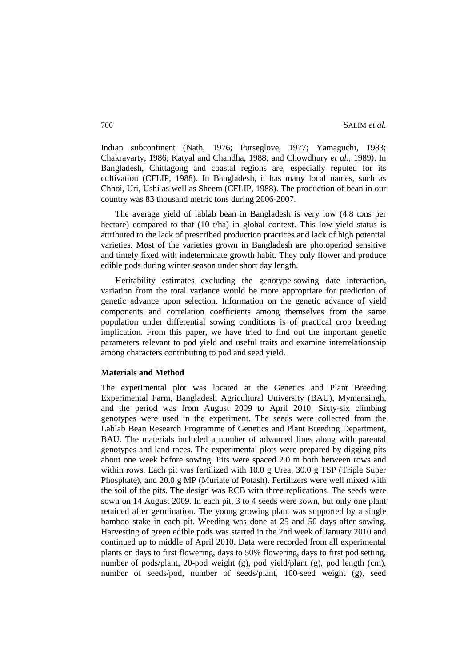Indian subcontinent (Nath, 1976; Purseglove, 1977; Yamaguchi, 1983; Chakravarty, 1986; Katyal and Chandha, 1988; and Chowdhury *et al.,* 1989). In Bangladesh, Chittagong and coastal regions are, especially reputed for its cultivation (CFLIP, 1988). In Bangladesh, it has many local names, such as Chhoi, Uri, Ushi as well as Sheem (CFLIP, 1988). The production of bean in our country was 83 thousand metric tons during 2006-2007.

The average yield of lablab bean in Bangladesh is very low (4.8 tons per hectare) compared to that (10 t/ha) in global context. This low yield status is attributed to the lack of prescribed production practices and lack of high potential varieties. Most of the varieties grown in Bangladesh are photoperiod sensitive and timely fixed with indeterminate growth habit. They only flower and produce edible pods during winter season under short day length.

Heritability estimates excluding the genotype-sowing date interaction, variation from the total variance would be more appropriate for prediction of genetic advance upon selection. Information on the genetic advance of yield components and correlation coefficients among themselves from the same population under differential sowing conditions is of practical crop breeding implication. From this paper, we have tried to find out the important genetic parameters relevant to pod yield and useful traits and examine interrelationship among characters contributing to pod and seed yield.

#### **Materials and Method**

The experimental plot was located at the Genetics and Plant Breeding Experimental Farm, Bangladesh Agricultural University (BAU), Mymensingh, and the period was from August 2009 to April 2010. Sixty-six climbing genotypes were used in the experiment. The seeds were collected from the Lablab Bean Research Programme of Genetics and Plant Breeding Department, BAU. The materials included a number of advanced lines along with parental genotypes and land races. The experimental plots were prepared by digging pits about one week before sowing. Pits were spaced 2.0 m both between rows and within rows. Each pit was fertilized with 10.0 g Urea, 30.0 g TSP (Triple Super Phosphate), and 20.0 g MP (Muriate of Potash). Fertilizers were well mixed with the soil of the pits. The design was RCB with three replications. The seeds were sown on 14 August 2009. In each pit, 3 to 4 seeds were sown, but only one plant retained after germination. The young growing plant was supported by a single bamboo stake in each pit. Weeding was done at 25 and 50 days after sowing. Harvesting of green edible pods was started in the 2nd week of January 2010 and continued up to middle of April 2010. Data were recorded from all experimental plants on days to first flowering, days to 50% flowering, days to first pod setting, number of pods/plant, 20-pod weight (g), pod yield/plant (g), pod length (cm), number of seeds/pod, number of seeds/plant, 100-seed weight (g), seed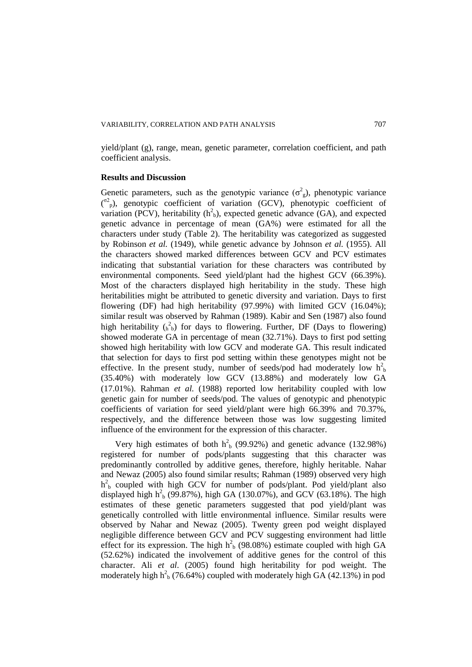yield/plant (g), range, mean, genetic parameter, correlation coefficient, and path coefficient analysis.

#### **Results and Discussion**

Genetic parameters, such as the genotypic variance  $(\sigma_g^2)$ , phenotypic variance (<sup>o2</sup><sub>p</sub>), genotypic coefficient of variation (GCV), phenotypic coefficient of variation (PCV), heritability  $(h<sup>2</sup><sub>b</sub>)$ , expected genetic advance (GA), and expected genetic advance in percentage of mean (GA%) were estimated for all the characters under study (Table 2). The heritability was categorized as suggested by Robinson *et al.* (1949), while genetic advance by Johnson *et al.* (1955). All the characters showed marked differences between GCV and PCV estimates indicating that substantial variation for these characters was contributed by environmental components. Seed yield/plant had the highest GCV (66.39%). Most of the characters displayed high heritability in the study. These high heritabilities might be attributed to genetic diversity and variation. Days to first flowering (DF) had high heritability (97.99%) with limited GCV (16.04%); similar result was observed by Rahman (1989). Kabir and Sen (1987) also found high heritability  $\binom{2}{h}$  for days to flowering. Further, DF (Days to flowering) showed moderate GA in percentage of mean (32.71%). Days to first pod setting showed high heritability with low GCV and moderate GA. This result indicated that selection for days to first pod setting within these genotypes might not be effective. In the present study, number of seeds/pod had moderately low  $h<sub>b</sub><sup>2</sup>$ (35.40%) with moderately low GCV (13.88%) and moderately low GA (17.01%). Rahman *et al.* (1988) reported low heritability coupled with low genetic gain for number of seeds/pod. The values of genotypic and phenotypic coefficients of variation for seed yield/plant were high 66.39% and 70.37%, respectively, and the difference between those was low suggesting limited influence of the environment for the expression of this character.

Very high estimates of both  $h_b^2$  (99.92%) and genetic advance (132.98%) registered for number of pods/plants suggesting that this character was predominantly controlled by additive genes, therefore, highly heritable. Nahar and Newaz (2005) also found similar results; Rahman (1989) observed very high  $h<sup>2</sup>_{b}$  coupled with high GCV for number of pods/plant. Pod yield/plant also displayed high  $h_b^2$  (99.87%), high GA (130.07%), and GCV (63.18%). The high estimates of these genetic parameters suggested that pod yield/plant was genetically controlled with little environmental influence. Similar results were observed by Nahar and Newaz (2005). Twenty green pod weight displayed negligible difference between GCV and PCV suggesting environment had little effect for its expression. The high  $h<sup>2</sup>_{b}$  (98.08%) estimate coupled with high GA (52.62%) indicated the involvement of additive genes for the control of this character. Ali *et al*. (2005) found high heritability for pod weight. The moderately high  $h<sup>2</sup>_{b}$  (76.64%) coupled with moderately high GA (42.13%) in pod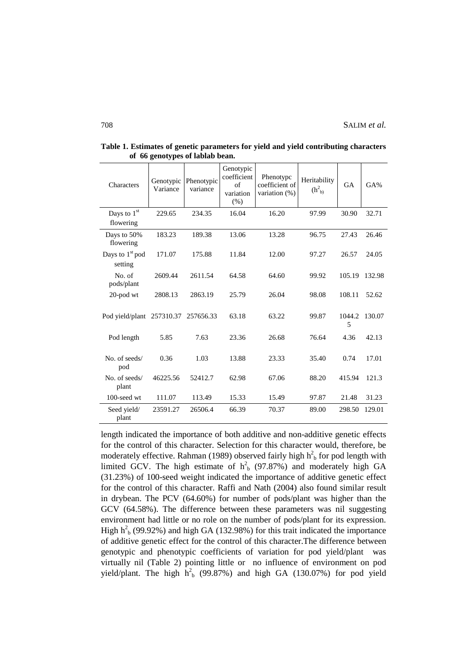| Characters                             | Genotypic<br>Variance | Phenotypic<br>variance | Genotypic<br>coefficient<br>of<br>variation<br>(% ) | Phenotypc<br>coefficient of<br>variation (%) | Heritability<br>$(h_{b}^{2})$ | <b>GA</b>   | GA%    |
|----------------------------------------|-----------------------|------------------------|-----------------------------------------------------|----------------------------------------------|-------------------------------|-------------|--------|
| Days to $1st$<br>flowering             | 229.65                | 234.35                 | 16.04                                               | 16.20                                        | 97.99                         | 30.90       | 32.71  |
| Days to 50%<br>flowering               | 183.23                | 189.38                 | 13.06                                               | 13.28                                        | 96.75                         | 27.43       | 26.46  |
| Days to 1 <sup>st</sup> pod<br>setting | 171.07                | 175.88                 | 11.84                                               | 12.00                                        | 97.27                         | 26.57       | 24.05  |
| No. of<br>pods/plant                   | 2609.44               | 2611.54                | 64.58                                               | 64.60                                        | 99.92                         | 105.19      | 132.98 |
| 20-pod wt                              | 2808.13               | 2863.19                | 25.79                                               | 26.04                                        | 98.08                         | 108.11      | 52.62  |
| Pod yield/plant 257310.37              |                       | 257656.33              | 63.18                                               | 63.22                                        | 99.87                         | 1044.2<br>5 | 130.07 |
| Pod length                             | 5.85                  | 7.63                   | 23.36                                               | 26.68                                        | 76.64                         | 4.36        | 42.13  |
| No. of seeds/<br>pod                   | 0.36                  | 1.03                   | 13.88                                               | 23.33                                        | 35.40                         | 0.74        | 17.01  |
| No. of seeds/<br>plant                 | 46225.56              | 52412.7                | 62.98                                               | 67.06                                        | 88.20                         | 415.94      | 121.3  |
| 100-seed wt                            | 111.07                | 113.49                 | 15.33                                               | 15.49                                        | 97.87                         | 21.48       | 31.23  |
| Seed yield/<br>plant                   | 23591.27              | 26506.4                | 66.39                                               | 70.37                                        | 89.00                         | 298.50      | 129.01 |

**Table 1. Estimates of genetic parameters for yield and yield contributing characters of 66 genotypes of lablab bean.**

length indicated the importance of both additive and non-additive genetic effects for the control of this character. Selection for this character would, therefore, be moderately effective. Rahman (1989) observed fairly high  $h<sup>2</sup><sub>b</sub>$  for pod length with limited GCV. The high estimate of  $h_b^2$  (97.87%) and moderately high GA (31.23%) of 100-seed weight indicated the importance of additive genetic effect for the control of this character. Raffi and Nath (2004) also found similar result in drybean. The PCV (64.60%) for number of pods/plant was higher than the GCV (64.58%). The difference between these parameters was nil suggesting environment had little or no role on the number of pods/plant for its expression. High  $h_b^2$  (99.92%) and high GA (132.98%) for this trait indicated the importance of additive genetic effect for the control of this character.The difference between genotypic and phenotypic coefficients of variation for pod yield/plant was virtually nil (Table 2) pointing little or no influence of environment on pod yield/plant. The high  $h_b^2$  (99.87%) and high GA (130.07%) for pod yield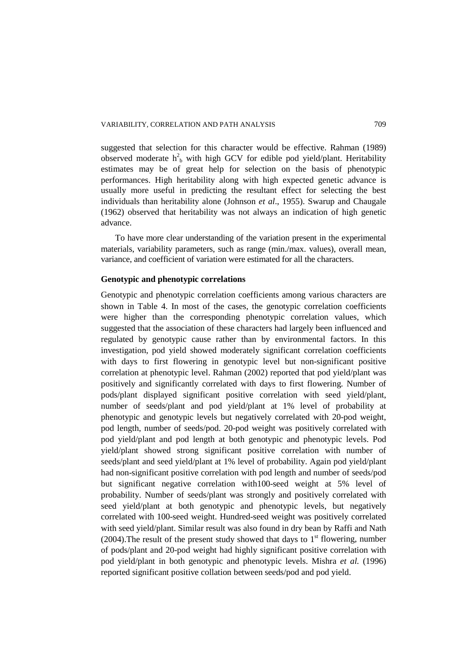suggested that selection for this character would be effective. Rahman (1989) observed moderate  $h_b^2$  with high GCV for edible pod yield/plant. Heritability estimates may be of great help for selection on the basis of phenotypic performances. High heritability along with high expected genetic advance is usually more useful in predicting the resultant effect for selecting the best individuals than heritability alone (Johnson *et al*., 1955). Swarup and Chaugale (1962) observed that heritability was not always an indication of high genetic advance.

To have more clear understanding of the variation present in the experimental materials, variability parameters, such as range (min./max. values), overall mean, variance, and coefficient of variation were estimated for all the characters.

## **Genotypic and phenotypic correlations**

Genotypic and phenotypic correlation coefficients among various characters are shown in Table 4. In most of the cases, the genotypic correlation coefficients were higher than the corresponding phenotypic correlation values, which suggested that the association of these characters had largely been influenced and regulated by genotypic cause rather than by environmental factors. In this investigation, pod yield showed moderately significant correlation coefficients with days to first flowering in genotypic level but non-significant positive correlation at phenotypic level. Rahman (2002) reported that pod yield/plant was positively and significantly correlated with days to first flowering. Number of pods/plant displayed significant positive correlation with seed yield/plant, number of seeds/plant and pod yield/plant at 1% level of probability at phenotypic and genotypic levels but negatively correlated with 20-pod weight, pod length, number of seeds/pod. 20-pod weight was positively correlated with pod yield/plant and pod length at both genotypic and phenotypic levels. Pod yield/plant showed strong significant positive correlation with number of seeds/plant and seed yield/plant at 1% level of probability. Again pod yield/plant had non-significant positive correlation with pod length and number of seeds/pod but significant negative correlation with100-seed weight at 5% level of probability. Number of seeds/plant was strongly and positively correlated with seed yield/plant at both genotypic and phenotypic levels, but negatively correlated with 100-seed weight. Hundred-seed weight was positively correlated with seed yield/plant. Similar result was also found in dry bean by Raffi and Nath (2004). The result of the present study showed that days to  $1<sup>st</sup>$  flowering, number of pods/plant and 20-pod weight had highly significant positive correlation with pod yield/plant in both genotypic and phenotypic levels. Mishra *et al.* (1996) reported significant positive collation between seeds/pod and pod yield.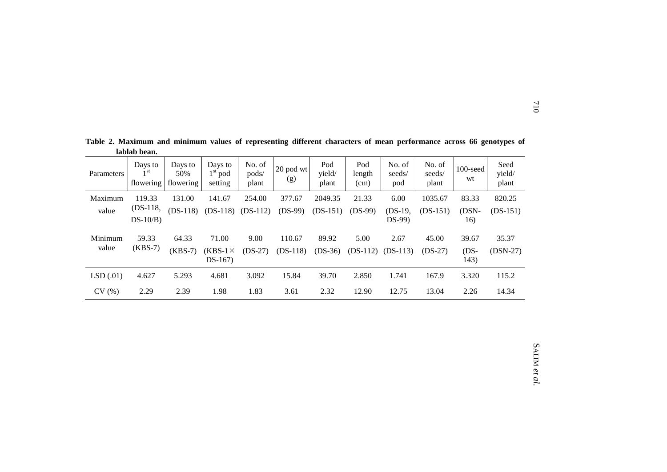| Parameters       | Days to<br>1 <sup>st</sup><br>flowering | Days to<br>50%<br>flowering | Days to<br>$1st$ pod<br>setting     | No. of<br>pods/<br>plant | 20 pod wt<br>(g)     | Pod<br>yield/<br>plant | Pod<br>length<br>(cm) | No. of<br>seeds/<br>pod | No. of<br>seeds/<br>plant | $100$ -seed<br>wt       | Seed<br>yield/<br>plant |
|------------------|-----------------------------------------|-----------------------------|-------------------------------------|--------------------------|----------------------|------------------------|-----------------------|-------------------------|---------------------------|-------------------------|-------------------------|
| Maximum          | 119.33                                  | 131.00                      | 141.67                              | 254.00                   | 377.67               | 2049.35                | 21.33                 | 6.00                    | 1035.67                   | 83.33                   | 820.25                  |
| value            | $(DS-118)$                              | $(DS-118)$                  | $(DS-118)$                          | $(DS-112)$               | $(DS-99)$            | $(DS-151)$             | $(DS-99)$             | $(DS-19,$               | $(DS-151)$                | (DSN-                   | $(DS-151)$              |
|                  | $DS-10/B$                               |                             |                                     |                          |                      |                        |                       | $DS-99$                 |                           | 16)                     |                         |
| Minimum<br>value | 59.33<br>$(KBS-7)$                      | 64.33<br>$(KBS-7)$          | 71.00<br>$(KBS-1\times$<br>$DS-167$ | 9.00<br>$(DS-27)$        | 110.67<br>$(DS-118)$ | 89.92<br>$(DS-36)$     | 5.00<br>$(DS-112)$    | 2.67<br>$(DS-113)$      | 45.00<br>$(DS-27)$        | 39.67<br>$(DS-$<br>143) | 35.37<br>$(DSN-27)$     |
| LSD(.01)         | 4.627                                   | 5.293                       | 4.681                               | 3.092                    | 15.84                | 39.70                  | 2.850                 | 1.741                   | 167.9                     | 3.320                   | 115.2                   |
| CV(%)            | 2.29                                    | 2.39                        | 1.98                                | 1.83                     | 3.61                 | 2.32                   | 12.90                 | 12.75                   | 13.04                     | 2.26                    | 14.34                   |

**Table 2. Maximum and minimum values of representing different characters of mean performance across 66 genotypes of lablab bean.**

# SALIM *et al.*

710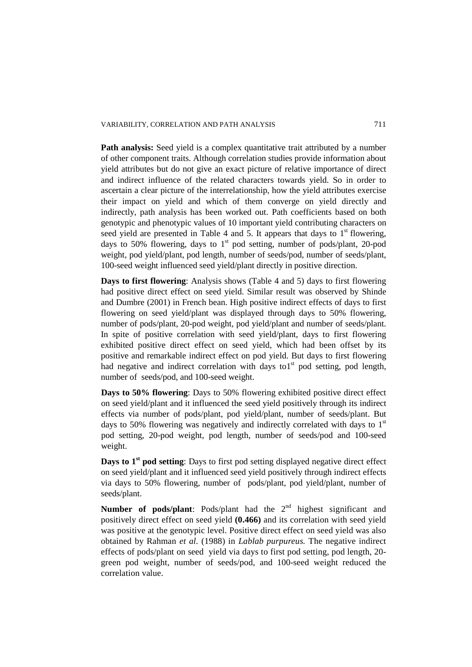#### VARIABILITY, CORRELATION AND PATH ANALYSIS 711

Path analysis: Seed yield is a complex quantitative trait attributed by a number of other component traits. Although correlation studies provide information about yield attributes but do not give an exact picture of relative importance of direct and indirect influence of the related characters towards yield. So in order to ascertain a clear picture of the interrelationship, how the yield attributes exercise their impact on yield and which of them converge on yield directly and indirectly, path analysis has been worked out. Path coefficients based on both genotypic and phenotypic values of 10 important yield contributing characters on seed yield are presented in Table 4 and 5. It appears that days to  $1<sup>st</sup>$  flowering, days to 50% flowering, days to  $1<sup>st</sup>$  pod setting, number of pods/plant, 20-pod weight, pod yield/plant, pod length, number of seeds/pod, number of seeds/plant, 100-seed weight influenced seed yield/plant directly in positive direction.

**Days to first flowering**: Analysis shows (Table 4 and 5) days to first flowering had positive direct effect on seed yield. Similar result was observed by Shinde and Dumbre (2001) in French bean. High positive indirect effects of days to first flowering on seed yield/plant was displayed through days to 50% flowering, number of pods/plant, 20-pod weight, pod yield/plant and number of seeds/plant. In spite of positive correlation with seed yield/plant, days to first flowering exhibited positive direct effect on seed yield, which had been offset by its positive and remarkable indirect effect on pod yield. But days to first flowering had negative and indirect correlation with days to  $1<sup>st</sup>$  pod setting, pod length, number of seeds/pod, and 100-seed weight.

**Days to 50% flowering**: Days to 50% flowering exhibited positive direct effect on seed yield/plant and it influenced the seed yield positively through its indirect effects via number of pods/plant, pod yield/plant, number of seeds/plant. But days to 50% flowering was negatively and indirectly correlated with days to  $1<sup>st</sup>$ pod setting, 20-pod weight, pod length, number of seeds/pod and 100-seed weight.

**Days to 1<sup>st</sup> pod setting**: Days to first pod setting displayed negative direct effect on seed yield/plant and it influenced seed yield positively through indirect effects via days to 50% flowering, number of pods/plant, pod yield/plant, number of seeds/plant.

**Number of pods/plant**: Pods/plant had the 2<sup>nd</sup> highest significant and positively direct effect on seed yield **(0.466)** and its correlation with seed yield was positive at the genotypic level. Positive direct effect on seed yield was also obtained by Rahman *et al*. (1988) in *Lablab purpureus.* The negative indirect effects of pods/plant on seed yield via days to first pod setting, pod length, 20 green pod weight, number of seeds/pod, and 100-seed weight reduced the correlation value.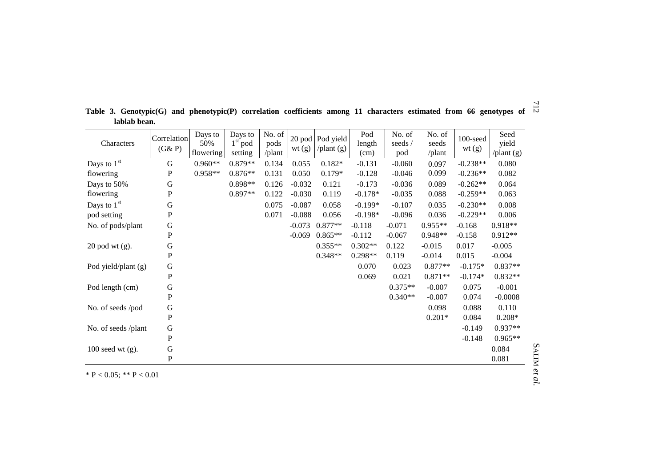| Characters          | Correlation<br>(G&P) | Days to<br>50%<br>flowering | Days to<br>$1st$ pod<br>setting | No. of<br>pods<br>/plant | wt(g)    | 20 pod Pod yield<br>$\sqrt{$ plant $(g)$ | Pod<br>length<br>(cm) | No. of<br>seeds /<br>pod | No. of<br>seeds<br>/plant | $100$ -seed<br>wt(g) | Seed<br>yield<br>/plant (g) |
|---------------------|----------------------|-----------------------------|---------------------------------|--------------------------|----------|------------------------------------------|-----------------------|--------------------------|---------------------------|----------------------|-----------------------------|
| Days to $1st$       | ${\bf G}$            | $0.960**$                   | 0.879**                         | 0.134                    | 0.055    | $0.182*$                                 | $-0.131$              | $-0.060$                 | 0.097                     | $-0.238**$           | 0.080                       |
| flowering           | ${\bf P}$            | 0.958**                     | $0.876**$                       | 0.131                    | 0.050    | $0.179*$                                 | $-0.128$              | $-0.046$                 | 0.099                     | $-0.236**$           | 0.082                       |
| Days to 50%         | ${\bf G}$            |                             | $0.898**$                       | 0.126                    | $-0.032$ | 0.121                                    | $-0.173$              | $-0.036$                 | 0.089                     | $-0.262**$           | 0.064                       |
| flowering           | P                    |                             | $0.897**$                       | 0.122                    | $-0.030$ | 0.119                                    | $-0.178*$             | $-0.035$                 | 0.088                     | $-0.259**$           | 0.063                       |
| Days to $1st$       | $\mathbf G$          |                             |                                 | 0.075                    | $-0.087$ | 0.058                                    | $-0.199*$             | $-0.107$                 | 0.035                     | $-0.230**$           | 0.008                       |
| pod setting         | P                    |                             |                                 | 0.071                    | $-0.088$ | 0.056                                    | $-0.198*$             | $-0.096$                 | 0.036                     | $-0.229**$           | 0.006                       |
| No. of pods/plant   | G                    |                             |                                 |                          | $-0.073$ | $0.877**$                                | $-0.118$              | $-0.071$                 | $0.955**$                 | $-0.168$             | $0.918**$                   |
|                     | ${\bf P}$            |                             |                                 |                          | $-0.069$ | $0.865**$                                | $-0.112$              | $-0.067$                 | $0.948**$                 | $-0.158$             | $0.912**$                   |
| $20$ pod wt $(g)$ . | $\mathsf G$          |                             |                                 |                          |          | $0.355**$                                | $0.302**$             | 0.122                    | $-0.015$                  | 0.017                | $-0.005$                    |
|                     | ${\bf P}$            |                             |                                 |                          |          | $0.348**$                                | $0.298**$             | 0.119                    | $-0.014$                  | 0.015                | $-0.004$                    |
| Pod yield/plant (g) | ${\bf G}$            |                             |                                 |                          |          |                                          | 0.070                 | 0.023                    | $0.877**$                 | $-0.175*$            | $0.837**$                   |
|                     | ${\bf P}$            |                             |                                 |                          |          |                                          | 0.069                 | 0.021                    | $0.871**$                 | $-0.174*$            | $0.832**$                   |
| Pod length (cm)     | G                    |                             |                                 |                          |          |                                          |                       | $0.375**$                | $-0.007$                  | 0.075                | $-0.001$                    |
|                     | ${\bf P}$            |                             |                                 |                          |          |                                          |                       | $0.340**$                | $-0.007$                  | 0.074                | $-0.0008$                   |
| No. of seeds /pod   | G                    |                             |                                 |                          |          |                                          |                       |                          | 0.098                     | 0.088                | 0.110                       |
|                     | $\, {\bf P}$         |                             |                                 |                          |          |                                          |                       |                          | $0.201*$                  | 0.084                | $0.208*$                    |
| No. of seeds /plant | ${\bf G}$            |                             |                                 |                          |          |                                          |                       |                          |                           | $-0.149$             | $0.937**$                   |
|                     | P                    |                             |                                 |                          |          |                                          |                       |                          |                           | $-0.148$             | $0.965**$                   |
| $100$ seed wt (g).  | G                    |                             |                                 |                          |          |                                          |                       |                          |                           |                      | 0.084                       |
|                     | ${\bf P}$            |                             |                                 |                          |          |                                          |                       |                          |                           |                      | 0.081                       |

712 **Table 3. Genotypic(G) and phenotypic(P) correlation coefficients among 11 characters estimated from 66 genotypes of lablab bean.**

\* P < 0.05; \*\* P < 0.01

SALIM *et al.*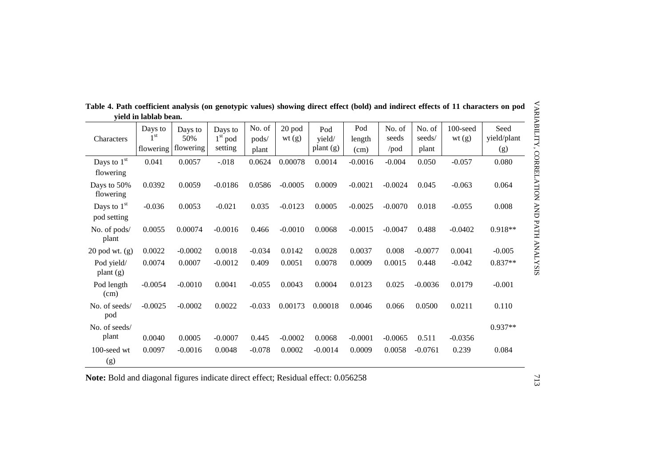| VARIABILITY,<br>Table 4. Path coefficient analysis (on genotypic values) showing direct effect (bold) and indirect effects of 11 characters on pod<br>yield in lablab bean. |                                         |                             |                                 |                          |                 |                            |                       |                                 |                           |                      |                            |
|-----------------------------------------------------------------------------------------------------------------------------------------------------------------------------|-----------------------------------------|-----------------------------|---------------------------------|--------------------------|-----------------|----------------------------|-----------------------|---------------------------------|---------------------------|----------------------|----------------------------|
| Characters                                                                                                                                                                  | Days to<br>1 <sup>st</sup><br>flowering | Days to<br>50%<br>flowering | Days to<br>$1st$ pod<br>setting | No. of<br>pods/<br>plant | 20 pod<br>wt(g) | Pod<br>yield/<br>plant (g) | Pod<br>length<br>(cm) | No. of<br>seeds<br>$\prime$ pod | No. of<br>seeds/<br>plant | $100$ -seed<br>wt(g) | Seed<br>yield/plant<br>(g) |
| Days to $1st$<br>flowering                                                                                                                                                  | 0.041                                   | 0.0057                      | $-.018$                         | 0.0624                   | 0.00078         | 0.0014                     | $-0.0016$             | $-0.004$                        | 0.050                     | $-0.057$             | 0.080                      |
| Days to 50%<br>flowering                                                                                                                                                    | 0.0392                                  | 0.0059                      | $-0.0186$                       | 0.0586                   | $-0.0005$       | 0.0009                     | $-0.0021$             | $-0.0024$                       | 0.045                     | $-0.063$             | 0.064                      |
| Days to $1st$<br>pod setting                                                                                                                                                | $-0.036$                                | 0.0053                      | $-0.021$                        | 0.035                    | $-0.0123$       | 0.0005                     | $-0.0025$             | $-0.0070$                       | 0.018                     | $-0.055$             | 0.008                      |
| No. of pods/<br>plant                                                                                                                                                       | 0.0055                                  | 0.00074                     | $-0.0016$                       | 0.466                    | $-0.0010$       | 0.0068                     | $-0.0015$             | $-0.0047$                       | 0.488                     | $-0.0402$            | $0.918**$                  |
| $20$ pod wt. $(g)$                                                                                                                                                          | 0.0022                                  | $-0.0002$                   | 0.0018                          | $-0.034$                 | 0.0142          | 0.0028                     | 0.0037                | 0.008                           | $-0.0077$                 | 0.0041               | $-0.005$                   |
| Pod yield/<br>plan <sub>t</sub> (g)                                                                                                                                         | 0.0074                                  | 0.0007                      | $-0.0012$                       | 0.409                    | 0.0051          | 0.0078                     | 0.0009                | 0.0015                          | 0.448                     | $-0.042$             | $0.837**$                  |
| Pod length<br>(cm)                                                                                                                                                          | $-0.0054$                               | $-0.0010$                   | 0.0041                          | $-0.055$                 | 0.0043          | 0.0004                     | 0.0123                | 0.025                           | $-0.0036$                 | 0.0179               | $-0.001$                   |
| No. of seeds/<br>pod                                                                                                                                                        | $-0.0025$                               | $-0.0002$                   | 0.0022                          | $-0.033$                 | 0.00173         | 0.00018                    | 0.0046                | 0.066                           | 0.0500                    | 0.0211               | 0.110                      |
| No. of seeds/<br>plant                                                                                                                                                      | 0.0040                                  | 0.0005                      | $-0.0007$                       | 0.445                    | $-0.0002$       | 0.0068                     | $-0.0001$             | $-0.0065$                       | 0.511                     | $-0.0356$            | $0.937**$                  |
| 100-seed wt<br>(g)                                                                                                                                                          | 0.0097                                  | $-0.0016$                   | 0.0048                          | $-0.078$                 | 0.0002          | $-0.0014$                  | 0.0009                | 0.0058                          | $-0.0761$                 | 0.239                | 0.084                      |

**Table 4. Path coefficient analysis (on genotypic values) showing direct effect (bold) and indirect effects of 11 characters on pod yield in lablab bean.**

**Note:** Bold and diagonal figures indicate direct effect; Residual effect: 0.056258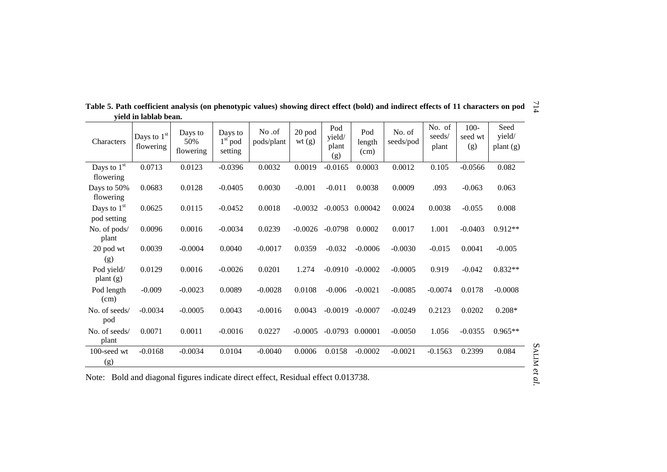| <b>Characters</b>            | Days to $1^\mathrm{st}$<br>flowering | Days to<br>50%<br>flowering | Days to<br>$1st$ pod<br>setting | No.of<br>pods/plant | 20 pod<br>wt(g) | Pod<br>yield/<br>plant<br>(g) | Pod<br>length<br>(cm) | No. of<br>seeds/pod | No. of<br>seeds/<br>plant | $100 -$<br>seed wt<br>(g) | Seed<br>yield/<br>$\mathbf{plant}\left(\mathbf{g}\right)$ |
|------------------------------|--------------------------------------|-----------------------------|---------------------------------|---------------------|-----------------|-------------------------------|-----------------------|---------------------|---------------------------|---------------------------|-----------------------------------------------------------|
| Days to $1st$<br>flowering   | 0.0713                               | 0.0123                      | $-0.0396$                       | 0.0032              | 0.0019          | $-0.0165$                     | 0.0003                | 0.0012              | 0.105                     | $-0.0566$                 | 0.082                                                     |
| Days to 50%<br>flowering     | 0.0683                               | 0.0128                      | $-0.0405$                       | 0.0030              | $-0.001$        | $-0.011$                      | 0.0038                | 0.0009              | .093                      | $-0.063$                  | 0.063                                                     |
| Days to $1st$<br>pod setting | 0.0625                               | 0.0115                      | $-0.0452$                       | 0.0018              | $-0.0032$       | $-0.0053$                     | 0.00042               | 0.0024              | 0.0038                    | $-0.055$                  | 0.008                                                     |
| No. of pods/<br>plant        | 0.0096                               | 0.0016                      | $-0.0034$                       | 0.0239              | $-0.0026$       | $-0.0798$                     | 0.0002                | 0.0017              | 1.001                     | $-0.0403$                 | $0.912**$                                                 |
| 20 pod wt<br>(g)             | 0.0039                               | $-0.0004$                   | 0.0040                          | $-0.0017$           | 0.0359          | $-0.032$                      | $-0.0006$             | $-0.0030$           | $-0.015$                  | 0.0041                    | $-0.005$                                                  |
| Pod yield/<br>plant $(g)$    | 0.0129                               | 0.0016                      | $-0.0026$                       | 0.0201              | 1.274           | $-0.0910$                     | $-0.0002$             | $-0.0005$           | 0.919                     | $-0.042$                  | $0.832**$                                                 |
| Pod length<br>(cm)           | $-0.009$                             | $-0.0023$                   | 0.0089                          | $-0.0028$           | 0.0108          | $-0.006$                      | $-0.0021$             | $-0.0085$           | $-0.0074$                 | 0.0178                    | $-0.0008$                                                 |
| No. of seeds/<br>pod         | $-0.0034$                            | $-0.0005$                   | 0.0043                          | $-0.0016$           | 0.0043          | $-0.0019$                     | $-0.0007$             | $-0.0249$           | 0.2123                    | 0.0202                    | $0.208*$                                                  |
| No. of seeds/<br>plant       | 0.0071                               | 0.0011                      | $-0.0016$                       | 0.0227              | $-0.0005$       | $-0.0793$                     | 0.00001               | $-0.0050$           | 1.056                     | $-0.0355$                 | $0.965**$                                                 |
| 100-seed wt<br>(g)           | $-0.0168$                            | $-0.0034$                   | 0.0104                          | $-0.0040$           | 0.0006          | 0.0158                        | $-0.0002$             | $-0.0021$           | $-0.1563$                 | 0.2399                    | 0.084                                                     |
|                              |                                      |                             |                                 |                     |                 |                               |                       |                     |                           |                           |                                                           |

Table 5. Path coefficient analysis (on phenotypic values) showing direct effect (bold) and indirect effects of 11 characters on pod  $\frac{1}{\sqrt{2}}$ **yield in lablab bean.**

Note: Bold and diagonal figures indicate direct effect, Residual effect 0.013738.

SALIM *et al.*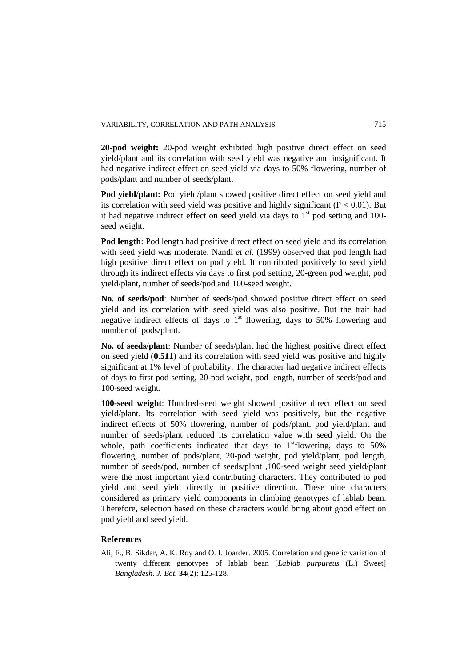**20-pod weight:** 20-pod weight exhibited high positive direct effect on seed yield/plant and its correlation with seed yield was negative and insignificant. It had negative indirect effect on seed yield via days to 50% flowering, number of pods/plant and number of seeds/plant.

**Pod yield/plant:** Pod yield/plant showed positive direct effect on seed yield and its correlation with seed yield was positive and highly significant ( $P < 0.01$ ). But it had negative indirect effect on seed yield via days to  $1<sup>st</sup>$  pod setting and 100seed weight.

**Pod length**: Pod length had positive direct effect on seed yield and its correlation with seed yield was moderate. Nandi *et al*. (1999) observed that pod length had high positive direct effect on pod yield. It contributed positively to seed yield through its indirect effects via days to first pod setting, 20-green pod weight, pod yield/plant, number of seeds/pod and 100-seed weight.

**No. of seeds/pod**: Number of seeds/pod showed positive direct effect on seed yield and its correlation with seed yield was also positive. But the trait had negative indirect effects of days to  $1<sup>st</sup>$  flowering, days to 50% flowering and number of pods/plant.

**No. of seeds/plant**: Number of seeds/plant had the highest positive direct effect on seed yield (**0.511**) and its correlation with seed yield was positive and highly significant at 1% level of probability. The character had negative indirect effects of days to first pod setting, 20-pod weight, pod length, number of seeds/pod and 100-seed weight.

**100-seed weight**: Hundred-seed weight showed positive direct effect on seed yield/plant. Its correlation with seed yield was positively, but the negative indirect effects of 50% flowering, number of pods/plant, pod yield/plant and number of seeds/plant reduced its correlation value with seed yield. On the whole, path coefficients indicated that days to  $1<sup>st</sup>$  flowering, days to 50% flowering, number of pods/plant, 20-pod weight, pod yield/plant, pod length, number of seeds/pod, number of seeds/plant ,100-seed weight seed yield/plant were the most important yield contributing characters. They contributed to pod yield and seed yield directly in positive direction. These nine characters considered as primary yield components in climbing genotypes of lablab bean. Therefore, selection based on these characters would bring about good effect on pod yield and seed yield.

# **References**

Ali, F., B. Sikdar, A. K. Roy and O. I. Joarder. 2005. Correlation and genetic variation of twenty different genotypes of lablab bean [*Lablab purpureus* (L.) Sweet] *Bangladesh. J. Bot.* **34**(2): 125-128.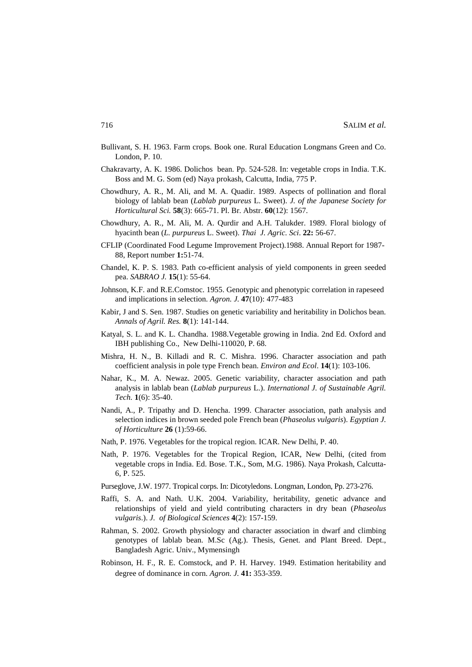- Bullivant, S. H. 1963. Farm crops. Book one. Rural Education Longmans Green and Co. London, P. 10.
- Chakravarty, A. K. 1986. Dolichos bean. Pp. 524-528. In: vegetable crops in India. T.K. Boss and M. G. Som (ed) Naya prokash, Calcutta, India, 775 P.
- Chowdhury, A. R., M. Ali, and M. A. Quadir. 1989. Aspects of pollination and floral biology of lablab bean (*Lablab purpureus* L. Sweet). *J. of the Japanese Society for Horticultural Sci.* **58**(3): 665-71. Pl. Br. Abstr. **60**(12): 1567.
- Chowdhury, A. R., M. Ali, M. A. Qurdir and A.H. Talukder. 1989. Floral biology of hyacinth bean (*L. purpureus* L. Sweet). *Thai J. Agric. Sci*. **22:** 56-67.
- CFLIP (Coordinated Food Legume Improvement Project).1988. Annual Report for 1987- 88, Report number **1:**51-74.
- Chandel, K. P. S. 1983. Path co-efficient analysis of yield components in green seeded pea. *SABRAO J.* **15**(1): 55-64.
- Johnson, K.F. and R.E.Comstoc. 1955. Genotypic and phenotypic correlation in rapeseed and implications in selection. *Agron. J.* **47**(10): 477-483
- Kabir, J and S. Sen. 1987. Studies on genetic variability and heritability in Dolichos bean. *Annals of Agril. Res.* **8**(1): 141-144.
- Katyal, S. L. and K. L. Chandha. 1988.Vegetable growing in India. 2nd Ed. Oxford and IBH publishing Co., New Delhi-110020, P. 68.
- Mishra, H. N., B. Killadi and R. C. Mishra. 1996. Character association and path coefficient analysis in pole type French bean. *Environ and Ecol*. **14**(1): 103-106.
- Nahar, K., M. A. Newaz. 2005. Genetic variability, character association and path analysis in lablab bean (*Lablab purpureus* L.). *International J. of Sustainable Agril. Tech.* **1**(6): 35-40.
- Nandi, A., P. Tripathy and D. Hencha. 1999. Character association, path analysis and selection indices in brown seeded pole French bean (*Phaseolus vulgaris*). *Egyptian J. of Horticulture* **26** (1):59-66.
- Nath, P. 1976. Vegetables for the tropical region. ICAR. New Delhi, P. 40.
- Nath, P. 1976. Vegetables for the Tropical Region, ICAR, New Delhi, (cited from vegetable crops in India. Ed. Bose. T.K., Som, M.G. 1986). Naya Prokash, Calcutta-6, P. 525.
- Purseglove, J.W. 1977. Tropical corps. In: Dicotyledons. Longman, London, Pp. 273-276.
- Raffi, S. A. and Nath. U.K. 2004. Variability, heritability, genetic advance and relationships of yield and yield contributing characters in dry bean (*Phaseolus vulgaris*.). *J. of Biological Sciences* **4**(2): 157-159.
- Rahman, S. 2002. Growth physiology and character association in dwarf and climbing genotypes of lablab bean. M.Sc (Ag.). Thesis, Genet. and Plant Breed. Dept., Bangladesh Agric. Univ., Mymensingh
- Robinson, H. F., R. E. Comstock, and P. H. Harvey. 1949. Estimation heritability and degree of dominance in corn. *Agron. J.* **41:** 353-359.